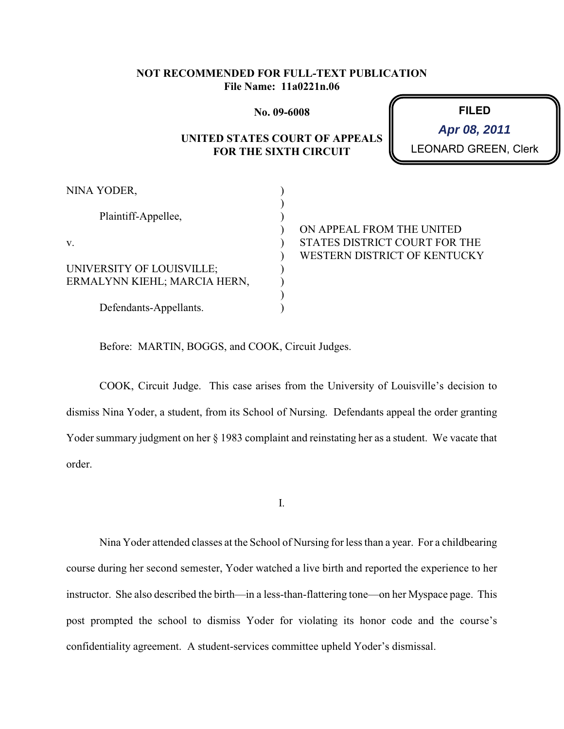### **NOT RECOMMENDED FOR FULL-TEXT PUBLICATION File Name: 11a0221n.06**

**No. 09-6008**

# **UNITED STATES COURT OF APPEALS FOR THE SIXTH CIRCUIT**

**FILED** RD GREEN, Clerk **Apr 08, 2011**

| NINA YODER,                  |                               |
|------------------------------|-------------------------------|
|                              |                               |
| Plaintiff-Appellee,          |                               |
|                              | ON APPEAL FROM THE UNITED     |
| V.                           | STATES DISTRICT COURT FOR THE |
|                              | WESTERN DISTRICT OF KENTUCKY  |
| UNIVERSITY OF LOUISVILLE;    |                               |
| ERMALYNN KIEHL; MARCIA HERN, |                               |
|                              |                               |
| Defendants-Appellants.       |                               |

Before: MARTIN, BOGGS, and COOK, Circuit Judges.

COOK, Circuit Judge. This case arises from the University of Louisville's decision to dismiss Nina Yoder, a student, from its School of Nursing. Defendants appeal the order granting Yoder summary judgment on her § 1983 complaint and reinstating her as a student. We vacate that order.

I.

Nina Yoder attended classes at the School of Nursing for less than a year. For a childbearing course during her second semester, Yoder watched a live birth and reported the experience to her instructor. She also described the birth—in a less-than-flattering tone—on her Myspace page. This post prompted the school to dismiss Yoder for violating its honor code and the course's confidentiality agreement. A student-services committee upheld Yoder's dismissal.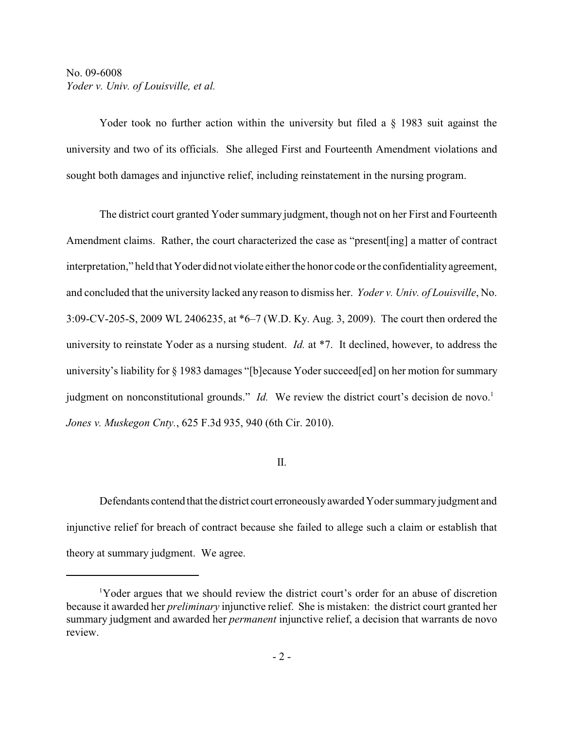## No. 09-6008 *Yoder v. Univ. of Louisville, et al.*

Yoder took no further action within the university but filed a § 1983 suit against the university and two of its officials. She alleged First and Fourteenth Amendment violations and sought both damages and injunctive relief, including reinstatement in the nursing program.

The district court granted Yoder summary judgment, though not on her First and Fourteenth Amendment claims. Rather, the court characterized the case as "present[ing] a matter of contract interpretation," held that Yoder did not violate either the honor code or the confidentiality agreement, and concluded that the university lacked any reason to dismiss her. *Yoder v. Univ. of Louisville*, No. 3:09-CV-205-S, 2009 WL 2406235, at \*6–7 (W.D. Ky. Aug. 3, 2009). The court then ordered the university to reinstate Yoder as a nursing student. *Id.* at \*7. It declined, however, to address the university's liability for § 1983 damages "[b]ecause Yoder succeed[ed] on her motion for summary judgment on nonconstitutional grounds." *Id*. We review the district court's decision de novo.<sup>1</sup> *Jones v. Muskegon Cnty.*, 625 F.3d 935, 940 (6th Cir. 2010).

#### II.

Defendants contend that the district court erroneously awarded Yoder summary judgment and injunctive relief for breach of contract because she failed to allege such a claim or establish that theory at summary judgment. We agree.

Yoder argues that we should review the district court's order for an abuse of discretion <sup>1</sup> because it awarded her *preliminary* injunctive relief. She is mistaken: the district court granted her summary judgment and awarded her *permanent* injunctive relief, a decision that warrants de novo review.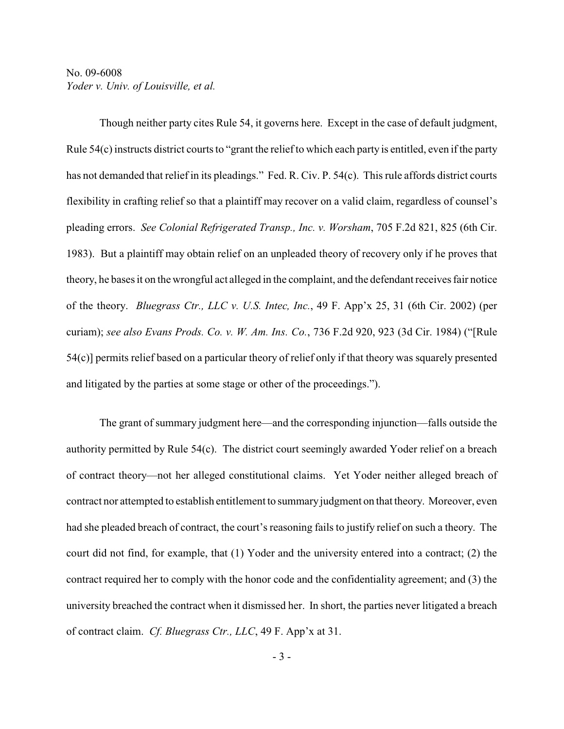## No. 09-6008 *Yoder v. Univ. of Louisville, et al.*

Though neither party cites Rule 54, it governs here. Except in the case of default judgment, Rule 54(c) instructs district courts to "grant the reliefto which each party is entitled, even if the party has not demanded that relief in its pleadings." Fed. R. Civ. P. 54(c). This rule affords district courts flexibility in crafting relief so that a plaintiff may recover on a valid claim, regardless of counsel's pleading errors. *See Colonial Refrigerated Transp., Inc. v. Worsham*, 705 F.2d 821, 825 (6th Cir. 1983). But a plaintiff may obtain relief on an unpleaded theory of recovery only if he proves that theory, he bases it on the wrongful act alleged in the complaint, and the defendant receives fair notice of the theory. *Bluegrass Ctr., LLC v. U.S. Intec, Inc.*, 49 F. App'x 25, 31 (6th Cir. 2002) (per curiam); *see also Evans Prods. Co. v. W. Am. Ins. Co.*, 736 F.2d 920, 923 (3d Cir. 1984) ("[Rule 54(c)] permits relief based on a particular theory of relief only if that theory was squarely presented and litigated by the parties at some stage or other of the proceedings.").

The grant of summary judgment here—and the corresponding injunction—falls outside the authority permitted by Rule 54(c). The district court seemingly awarded Yoder relief on a breach of contract theory—not her alleged constitutional claims. Yet Yoder neither alleged breach of contract nor attempted to establish entitlement to summaryjudgment on that theory. Moreover, even had she pleaded breach of contract, the court's reasoning fails to justify relief on such a theory. The court did not find, for example, that (1) Yoder and the university entered into a contract; (2) the contract required her to comply with the honor code and the confidentiality agreement; and (3) the university breached the contract when it dismissed her. In short, the parties never litigated a breach of contract claim. *Cf. Bluegrass Ctr., LLC*, 49 F. App'x at 31.